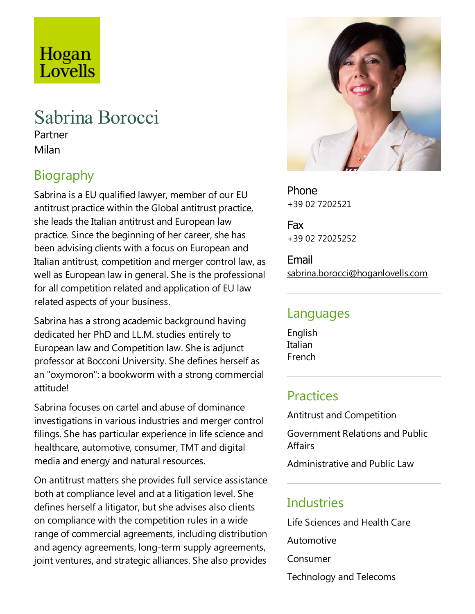# Hogan Lovells

## Sabrina Borocci

Partner Milan

## Biography

Sabrina is a EU qualified lawyer, member of our EU antitrust practice within the Global antitrust practice, she leads the Italian antitrust and European law practice. Since the beginning of her career, she has been advising clients with a focus on European and Italian antitrust, competition and merger control law, as well as European law in general. She is the professional for all competition related and application of EU law related aspects of your business.

Sabrina has a strong academic background having dedicated her PhD and LL.M. studies entirely to European law and Competition law. She is adjunct professor at Bocconi University. She defines herself as an "oxymoron": a bookworm with a strong commercial attitude!

Sabrina focuses on cartel and abuse of dominance investigations in various industries and merger control filings. She has particular experience in life science and healthcare, automotive, consumer, TMT and digital mediaand energy and natural resources.

On antitrust matters she provides full service assistance both at compliance level and at a litigation level. She defines herself a litigator, but she advises also clients on compliance with the competition rules in a wide range of commercial agreements, including distribution and agency agreements, long-term supply agreements, joint ventures, and strategic alliances. She also provides



Phone +39 02 7202521

Fax +39 02 72025252

Email sabrina.borocci@hoganlovells.com

#### Languages

English Italian French

### **Practices**

Antitrust and Competition

Government Relations and Public **Affairs** 

Administrative and Public Law

### **Industries**

Life Sciences and Health Care

Automotive

Consumer

Technology and Telecoms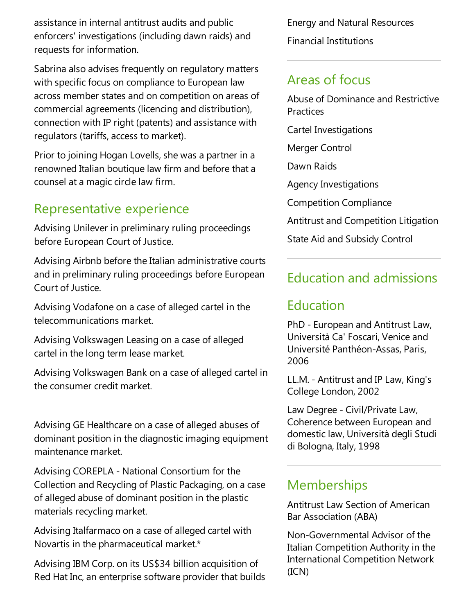assistance in internal antitrust audits and public enforcers' investigations (including dawn raids) and requests for information.

Sabrina also advises frequently on regulatory matters with specific focus on compliance to European law across member states and on competition on areas of commercial agreements (licencing and distribution), connection with IP right (patents) and assistance with regulators (tariffs, access to market).

Prior to joining Hogan Lovells, she was a partner in a renowned Italian boutique law firm and before that a counsel at a magic circle law firm.

#### Representative experience

Advising Unilever in preliminary ruling proceedings before European Court of Justice.

Advising Airbnb before the Italian administrative courts and in preliminary ruling proceedings before European Court of Justice.

Advising Vodafone on a case of alleged cartel in the telecommunications market.

Advising Volkswagen Leasing on a case of alleged cartel in the long term lease market.

Advising Volkswagen Bank on a case of alleged cartel in the consumer credit market.

Advising GE Healthcare on a case of alleged abuses of dominant position in the diagnostic imaging equipment maintenance market.

Advising COREPLA - National Consortium for the Collection and Recycling of Plastic Packaging, on acase ofalleged abuse of dominant position in the plastic materials recycling market.

Advising Italfarmaco on a case of alleged cartel with Novartis in the pharmaceutical market.\*

Advising IBM Corp. on its US\$34 billion acquisition of Red Hat Inc, an enterprise software provider that builds Energy and Natural Resources Financial Institutions

## Areas of focus

Abuse of Dominance and Restrictive Practices

Cartel Investigations

Merger Control

Dawn Raids

Agency Investigations

Competition Compliance

Antitrustand Competition Litigation

State Aid and Subsidy Control

## Education and admissions

#### Education

PhD - European and Antitrust Law, Università Ca' Foscari, Venice and Université Panthéon-Assas, Paris, 2006

LL.M. - Antitrust and IP Law, King's College London, 2002

Law Degree - Civil/Private Law, Coherence between European and domesticlaw, Università degli Studi di Bologna, Italy, 1998

#### Memberships

Antitrust Law Section of American Bar Association (ABA)

Non-Governmental Advisor of the Italian Competition Authority in the International Competition Network (ICN)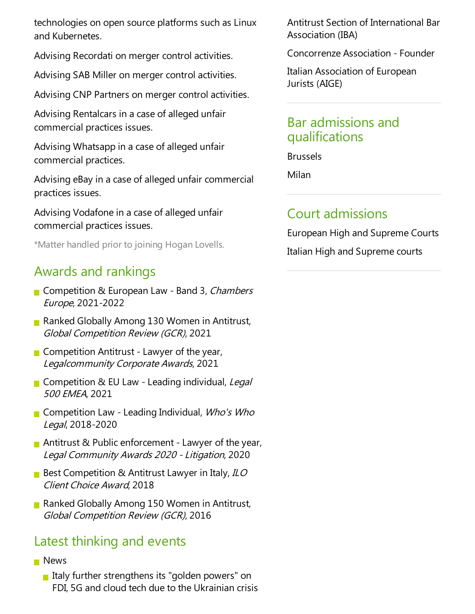technologies on open source platforms such as Linux and Kubernetes.

Advising Recordati on merger control activities.

Advising SAB Miller on merger control activities.

Advising CNP Partners on merger control activities.

Advising Rentalcars in a case of alleged unfair commercial practices issues.

Advising Whatsapp in a case of alleged unfair commercial practices.

Advising eBay in a case of alleged unfair commercial practices issues.

Advising Vodafone in a case of alleged unfair commercial practices issues.

\*Matter handled prior to joining Hogan Lovells.

## Awards and rankings

- Competition & European Law Band 3, Chambers Europe, 2021-2022
- **Ranked Globally Among 130 Women in Antitrust,** Global Competition Review (GCR), 2021
- $\blacksquare$  Competition Antitrust Lawyer of the year, Legalcommunity Corporate Awards, 2021
- Competition & EU Law Leading individual, Legal <sup>500</sup> EMEA, 2021
- **Competition Law Leading Individual, Who's Who** Legal, 2018-2020
- Antitrust & Public enforcement Lawyer of the year, Legal Community Awards <sup>2020</sup> -Litigation, 2020
- Best Competition & Antitrust Lawyer in Italy,  $ILO$ Client Choice Award, 2018
- Ranked Globally Among 150 Women in Antitrust, Global Competition Review (GCR), 2016

## Latest thinking and events

- **News** 
	- Italy further strengthens its "golden powers" on FDI, 5G and cloud tech due to the Ukrainian crisis

Antitrust Section of International Bar Association (IBA)

Concorrenze Association -Founder

Italian Association of European Jurists (AIGE)

### Bar admissions and qualifications

Brussels

Milan

## Court admissions

European High and Supreme Courts Italian High and Supreme courts